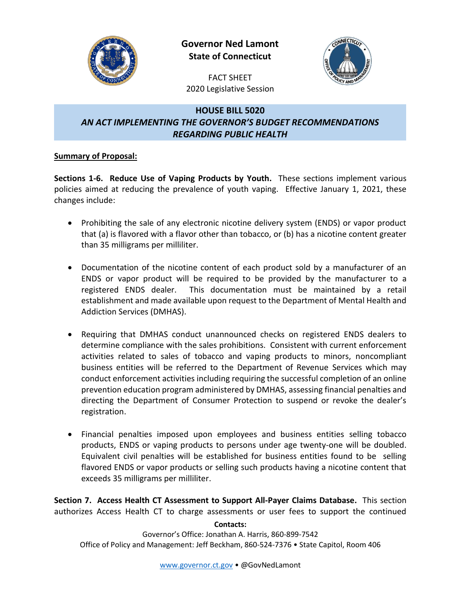

**Governor Ned Lamont State of Connecticut**



FACT SHEET 2020 Legislative Session

## **HOUSE BILL 5020** *AN ACT IMPLEMENTING THE GOVERNOR'S BUDGET RECOMMENDATIONS REGARDING PUBLIC HEALTH*

## **Summary of Proposal:**

**Sections 1-6. Reduce Use of Vaping Products by Youth.** These sections implement various policies aimed at reducing the prevalence of youth vaping. Effective January 1, 2021, these changes include:

- Prohibiting the sale of any electronic nicotine delivery system (ENDS) or vapor product that (a) is flavored with a flavor other than tobacco, or (b) has a nicotine content greater than 35 milligrams per milliliter.
- Documentation of the nicotine content of each product sold by a manufacturer of an ENDS or vapor product will be required to be provided by the manufacturer to a registered ENDS dealer. This documentation must be maintained by a retail establishment and made available upon request to the Department of Mental Health and Addiction Services (DMHAS).
- Requiring that DMHAS conduct unannounced checks on registered ENDS dealers to determine compliance with the sales prohibitions. Consistent with current enforcement activities related to sales of tobacco and vaping products to minors, noncompliant business entities will be referred to the Department of Revenue Services which may conduct enforcement activities including requiring the successful completion of an online prevention education program administered by DMHAS, assessing financial penalties and directing the Department of Consumer Protection to suspend or revoke the dealer's registration.
- Financial penalties imposed upon employees and business entities selling tobacco products, ENDS or vaping products to persons under age twenty-one will be doubled. Equivalent civil penalties will be established for business entities found to be selling flavored ENDS or vapor products or selling such products having a nicotine content that exceeds 35 milligrams per milliliter.

**Section 7. Access Health CT Assessment to Support All-Payer Claims Database.** This section authorizes Access Health CT to charge assessments or user fees to support the continued

**Contacts:**

Governor's Office: Jonathan A. Harris, 860-899-7542 Office of Policy and Management: Jeff Beckham, 860-524-7376 • State Capitol, Room 406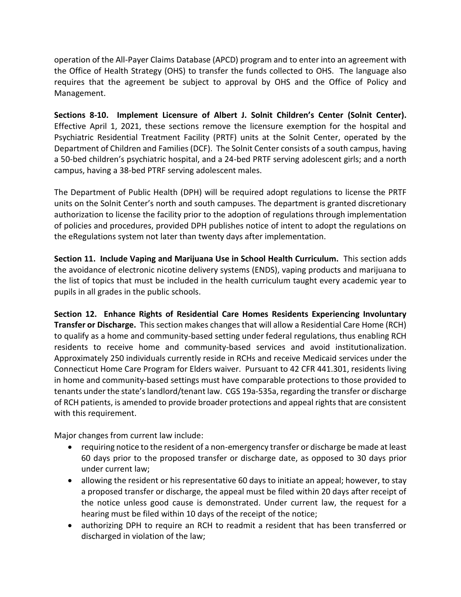operation of the All-Payer Claims Database (APCD) program and to enter into an agreement with the Office of Health Strategy (OHS) to transfer the funds collected to OHS. The language also requires that the agreement be subject to approval by OHS and the Office of Policy and Management.

**Sections 8-10. Implement Licensure of Albert J. Solnit Children's Center (Solnit Center).**  Effective April 1, 2021, these sections remove the licensure exemption for the hospital and Psychiatric Residential Treatment Facility (PRTF) units at the Solnit Center, operated by the Department of Children and Families (DCF). The Solnit Center consists of a south campus, having a 50-bed children's psychiatric hospital, and a 24-bed PRTF serving adolescent girls; and a north campus, having a 38-bed PTRF serving adolescent males.

The Department of Public Health (DPH) will be required adopt regulations to license the PRTF units on the Solnit Center's north and south campuses. The department is granted discretionary authorization to license the facility prior to the adoption of regulations through implementation of policies and procedures, provided DPH publishes notice of intent to adopt the regulations on the eRegulations system not later than twenty days after implementation.

**Section 11. Include Vaping and Marijuana Use in School Health Curriculum.** This section adds the avoidance of electronic nicotine delivery systems (ENDS), vaping products and marijuana to the list of topics that must be included in the health curriculum taught every academic year to pupils in all grades in the public schools.

**Section 12. Enhance Rights of Residential Care Homes Residents Experiencing Involuntary Transfer or Discharge.** This section makes changes that will allow a Residential Care Home (RCH) to qualify as a home and community-based setting under federal regulations, thus enabling RCH residents to receive home and community-based services and avoid institutionalization. Approximately 250 individuals currently reside in RCHs and receive Medicaid services under the Connecticut Home Care Program for Elders waiver. Pursuant to 42 CFR 441.301, residents living in home and community-based settings must have comparable protections to those provided to tenants under the state's landlord/tenant law. CGS 19a-535a, regarding the transfer or discharge of RCH patients, is amended to provide broader protections and appeal rights that are consistent with this requirement.

Major changes from current law include:

- requiring notice to the resident of a non-emergency transfer or discharge be made at least 60 days prior to the proposed transfer or discharge date, as opposed to 30 days prior under current law;
- allowing the resident or his representative 60 days to initiate an appeal; however, to stay a proposed transfer or discharge, the appeal must be filed within 20 days after receipt of the notice unless good cause is demonstrated. Under current law, the request for a hearing must be filed within 10 days of the receipt of the notice;
- authorizing DPH to require an RCH to readmit a resident that has been transferred or discharged in violation of the law;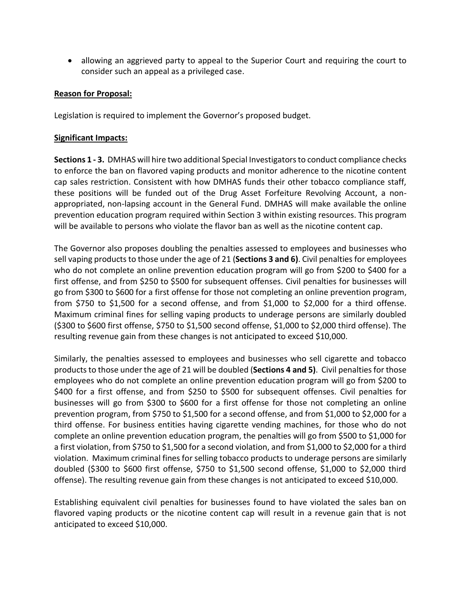allowing an aggrieved party to appeal to the Superior Court and requiring the court to consider such an appeal as a privileged case.

## **Reason for Proposal:**

Legislation is required to implement the Governor's proposed budget.

## **Significant Impacts:**

**Sections 1 - 3.** DMHAS will hire two additional Special Investigatorsto conduct compliance checks to enforce the ban on flavored vaping products and monitor adherence to the nicotine content cap sales restriction. Consistent with how DMHAS funds their other tobacco compliance staff, these positions will be funded out of the Drug Asset Forfeiture Revolving Account, a nonappropriated, non-lapsing account in the General Fund. DMHAS will make available the online prevention education program required within Section 3 within existing resources. This program will be available to persons who violate the flavor ban as well as the nicotine content cap.

The Governor also proposes doubling the penalties assessed to employees and businesses who sell vaping products to those under the age of 21 (**Sections 3 and 6)**. Civil penalties for employees who do not complete an online prevention education program will go from \$200 to \$400 for a first offense, and from \$250 to \$500 for subsequent offenses. Civil penalties for businesses will go from \$300 to \$600 for a first offense for those not completing an online prevention program, from \$750 to \$1,500 for a second offense, and from \$1,000 to \$2,000 for a third offense. Maximum criminal fines for selling vaping products to underage persons are similarly doubled (\$300 to \$600 first offense, \$750 to \$1,500 second offense, \$1,000 to \$2,000 third offense). The resulting revenue gain from these changes is not anticipated to exceed \$10,000.

Similarly, the penalties assessed to employees and businesses who sell cigarette and tobacco products to those under the age of 21 will be doubled (**Sections 4 and 5)**. Civil penalties for those employees who do not complete an online prevention education program will go from \$200 to \$400 for a first offense, and from \$250 to \$500 for subsequent offenses. Civil penalties for businesses will go from \$300 to \$600 for a first offense for those not completing an online prevention program, from \$750 to \$1,500 for a second offense, and from \$1,000 to \$2,000 for a third offense. For business entities having cigarette vending machines, for those who do not complete an online prevention education program, the penalties will go from \$500 to \$1,000 for a first violation, from \$750 to \$1,500 for a second violation, and from \$1,000 to \$2,000 for a third violation. Maximum criminal fines for selling tobacco products to underage persons are similarly doubled (\$300 to \$600 first offense, \$750 to \$1,500 second offense, \$1,000 to \$2,000 third offense). The resulting revenue gain from these changes is not anticipated to exceed \$10,000.

Establishing equivalent civil penalties for businesses found to have violated the sales ban on flavored vaping products or the nicotine content cap will result in a revenue gain that is not anticipated to exceed \$10,000.